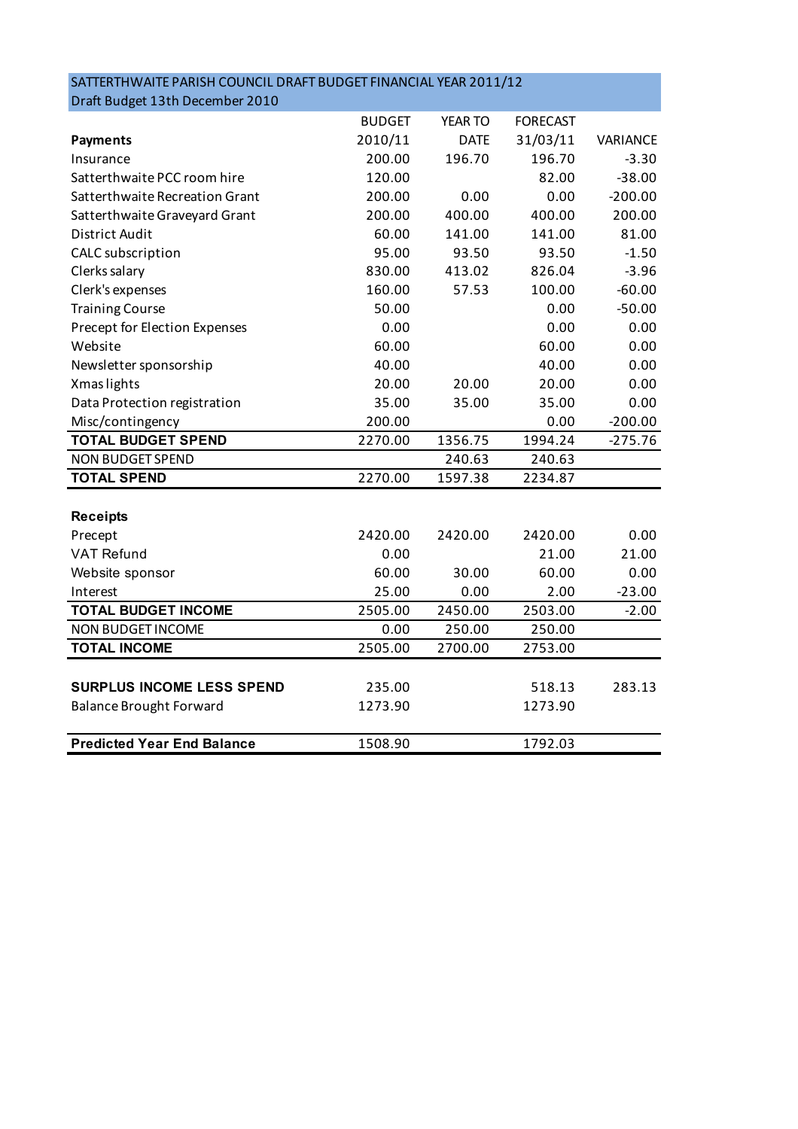| SATTERTHWAITE PARISH COUNCIL DRAFT BUDGET FINANCIAL YEAR 2011/12 |               |             |                 |           |
|------------------------------------------------------------------|---------------|-------------|-----------------|-----------|
| Draft Budget 13th December 2010                                  |               |             |                 |           |
|                                                                  | <b>BUDGET</b> | YEAR TO     | <b>FORECAST</b> |           |
| <b>Payments</b>                                                  | 2010/11       | <b>DATE</b> | 31/03/11        | VARIANCE  |
| Insurance                                                        | 200.00        | 196.70      | 196.70          | $-3.30$   |
| Satterthwaite PCC room hire                                      | 120.00        |             | 82.00           | $-38.00$  |
| Satterthwaite Recreation Grant                                   | 200.00        | 0.00        | 0.00            | $-200.00$ |
| Satterthwaite Graveyard Grant                                    | 200.00        | 400.00      | 400.00          | 200.00    |
| District Audit                                                   | 60.00         | 141.00      | 141.00          | 81.00     |
| CALC subscription                                                | 95.00         | 93.50       | 93.50           | $-1.50$   |
| Clerks salary                                                    | 830.00        | 413.02      | 826.04          | $-3.96$   |
| Clerk's expenses                                                 | 160.00        | 57.53       | 100.00          | $-60.00$  |
| <b>Training Course</b>                                           | 50.00         |             | 0.00            | $-50.00$  |
| Precept for Election Expenses                                    | 0.00          |             | 0.00            | 0.00      |
| Website                                                          | 60.00         |             | 60.00           | 0.00      |
| Newsletter sponsorship                                           | 40.00         |             | 40.00           | 0.00      |
| Xmas lights                                                      | 20.00         | 20.00       | 20.00           | 0.00      |
| Data Protection registration                                     | 35.00         | 35.00       | 35.00           | 0.00      |
| Misc/contingency                                                 | 200.00        |             | 0.00            | $-200.00$ |
| <b>TOTAL BUDGET SPEND</b>                                        | 2270.00       | 1356.75     | 1994.24         | $-275.76$ |
| <b>NON BUDGET SPEND</b>                                          |               | 240.63      | 240.63          |           |
| <b>TOTAL SPEND</b>                                               | 2270.00       | 1597.38     | 2234.87         |           |
|                                                                  |               |             |                 |           |
| <b>Receipts</b>                                                  |               |             |                 |           |
| Precept                                                          | 2420.00       | 2420.00     | 2420.00         | 0.00      |
| <b>VAT Refund</b>                                                | 0.00          |             | 21.00           | 21.00     |
| Website sponsor                                                  | 60.00         | 30.00       | 60.00           | 0.00      |
| Interest                                                         | 25.00         | 0.00        | 2.00            | $-23.00$  |
| <b>TOTAL BUDGET INCOME</b>                                       | 2505.00       | 2450.00     | 2503.00         | $-2.00$   |
| NON BUDGET INCOME                                                | 0.00          | 250.00      | 250.00          |           |
| <b>TOTAL INCOME</b>                                              | 2505.00       | 2700.00     | 2753.00         |           |
|                                                                  |               |             |                 |           |
| <b>SURPLUS INCOME LESS SPEND</b>                                 | 235.00        |             | 518.13          | 283.13    |
| <b>Balance Brought Forward</b>                                   | 1273.90       |             | 1273.90         |           |
|                                                                  |               |             |                 |           |
| <b>Predicted Year End Balance</b>                                | 1508.90       |             | 1792.03         |           |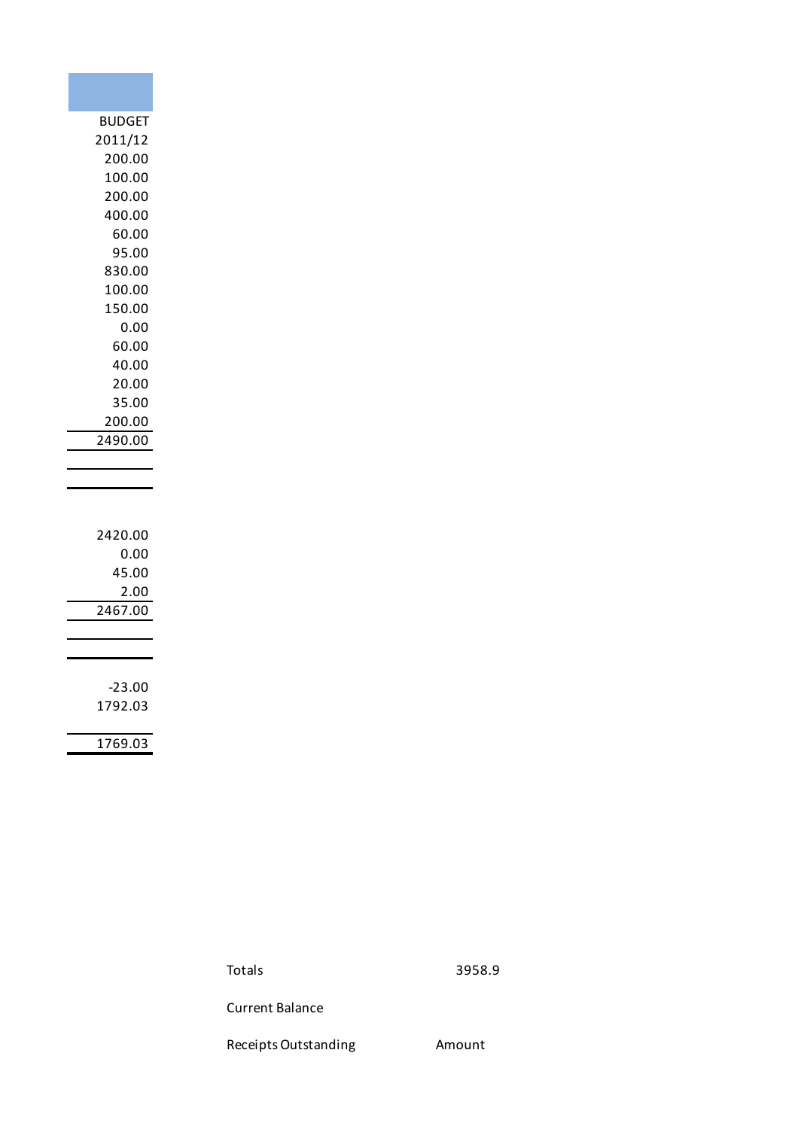| <b>BUDGET</b> |
|---------------|
| 2011/12       |
| 200.00        |
| 100.00        |
|               |
| 200.00        |
| 400.00        |
| 60.00         |
| 95.00         |
| 830.00        |
| 100.00        |
| 150.00        |
| 0.00          |
| 60.00         |
| 40.00         |
| 20.00         |
| 35.00         |
| 200.00        |
| 2490.00       |
|               |
|               |
|               |
|               |
| 2420.00       |
| 0.00          |
| 45.00         |
| <u>2.00</u>   |
| 7.00<br>246   |
|               |
|               |
|               |
| $-23.00$      |
| 1792.03       |
|               |
| 1769.03       |

Totals 3958.9

Current Balance

Receipts Outstanding **Amount**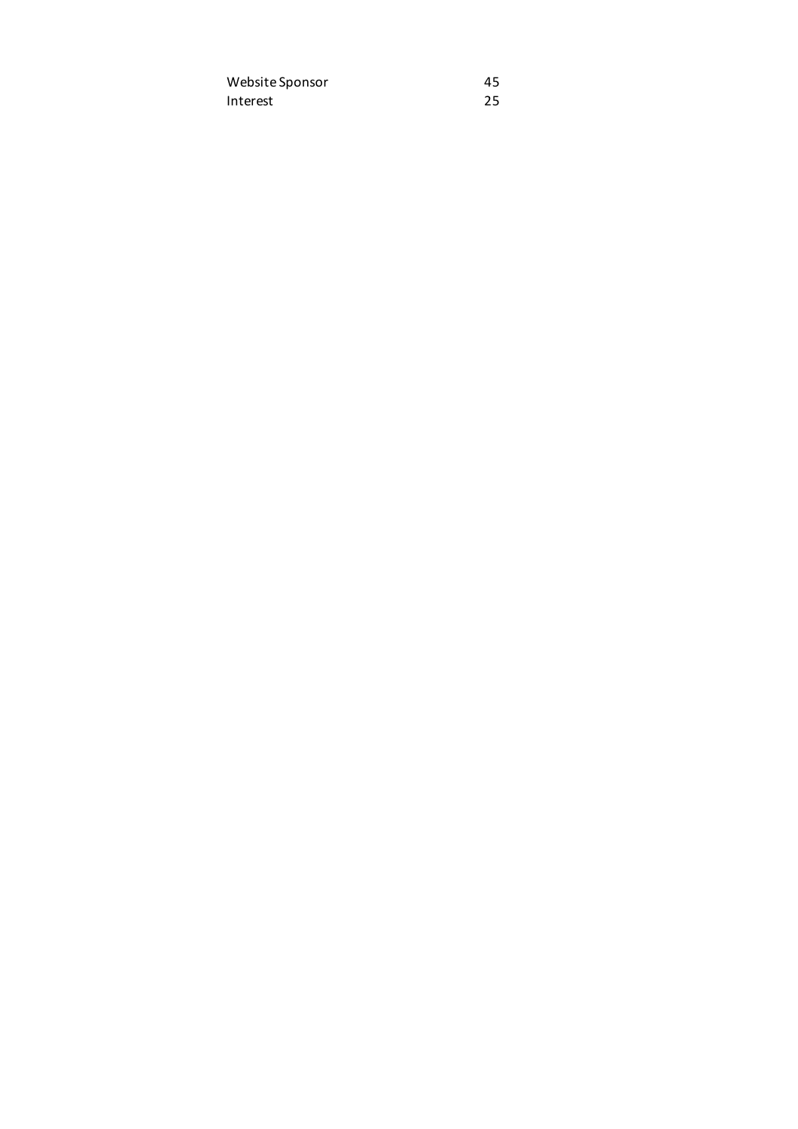Website Sponsor 45 Interest 25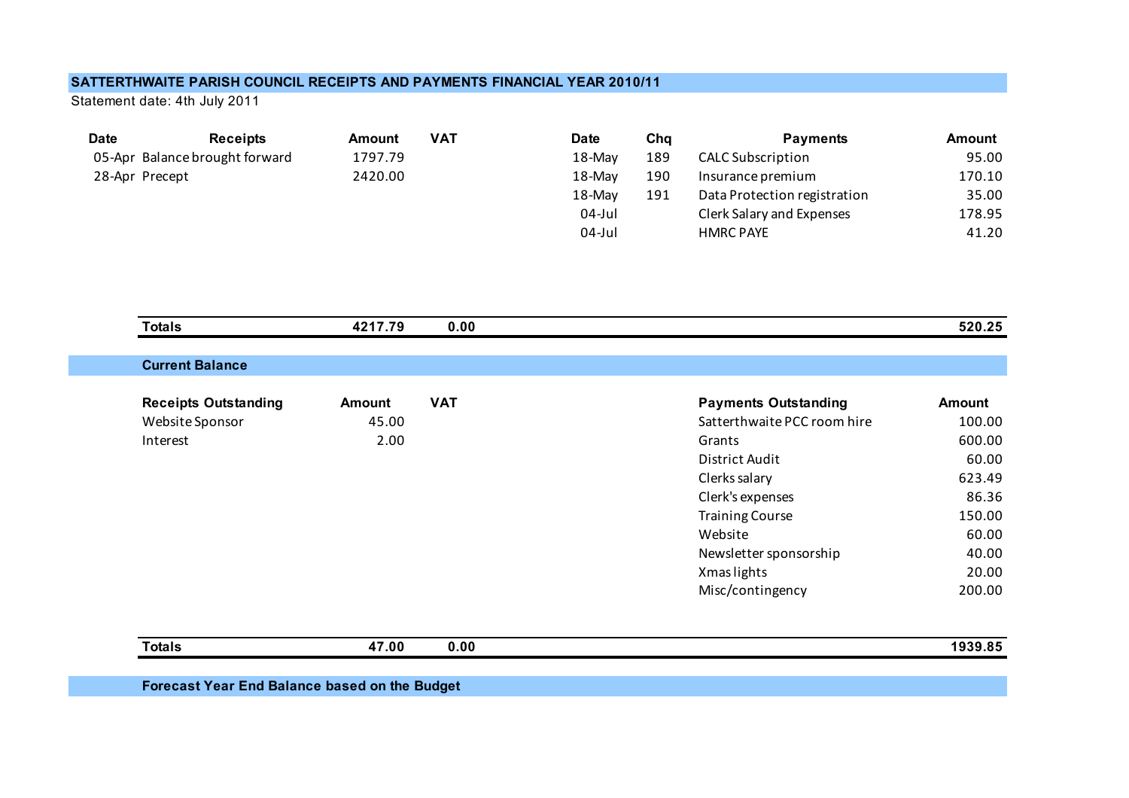## **SATTERTHWAITE PARISH COUNCIL RECEIPTS AND PAYMENTS FINANCIAL YEAR 2010/11**

Statement date: 4th July 2011

| <b>Date</b> | <b>Receipts</b>                | <b>Amount</b> | <b>VAT</b> | <b>Date</b> | Chq | <b>Payments</b>              | Amount |
|-------------|--------------------------------|---------------|------------|-------------|-----|------------------------------|--------|
|             | 05-Apr Balance brought forward | 1797.79       |            | 18-May      | 189 | <b>CALC Subscription</b>     | 95.00  |
|             | 28-Apr Precept                 | 2420.00       |            | 18-May      | 190 | Insurance premium            | 170.10 |
|             |                                |               |            | 18-May      | 191 | Data Protection registration | 35.00  |
|             |                                |               |            | 04-Jul      |     | Clerk Salary and Expenses    | 178.95 |
|             |                                |               |            | $04$ -Jul   |     | <b>HMRC PAYE</b>             | 41.20  |

| <b>Totals</b>               | 4217.79       | 0.00       |                             | 520.25        |
|-----------------------------|---------------|------------|-----------------------------|---------------|
| <b>Current Balance</b>      |               |            |                             |               |
|                             |               |            |                             |               |
| <b>Receipts Outstanding</b> | <b>Amount</b> | <b>VAT</b> | <b>Payments Outstanding</b> | <b>Amount</b> |
| Website Sponsor             | 45.00         |            | Satterthwaite PCC room hire | 100.00        |
| Interest                    | 2.00          |            | Grants                      | 600.00        |
|                             |               |            | District Audit              | 60.00         |
|                             |               |            | Clerks salary               | 623.49        |
|                             |               |            | Clerk's expenses            | 86.36         |
|                             |               |            | <b>Training Course</b>      | 150.00        |
|                             |               |            | Website                     | 60.00         |
|                             |               |            | Newsletter sponsorship      | 40.00         |
|                             |               |            | Xmas lights                 | 20.00         |
|                             |               |            | Misc/contingency            | 200.00        |
|                             |               |            |                             |               |
| <b>Totals</b>               | 47.00         | 0.00       |                             | 1939.85       |

**Forecast Year End Balance based on the Budget**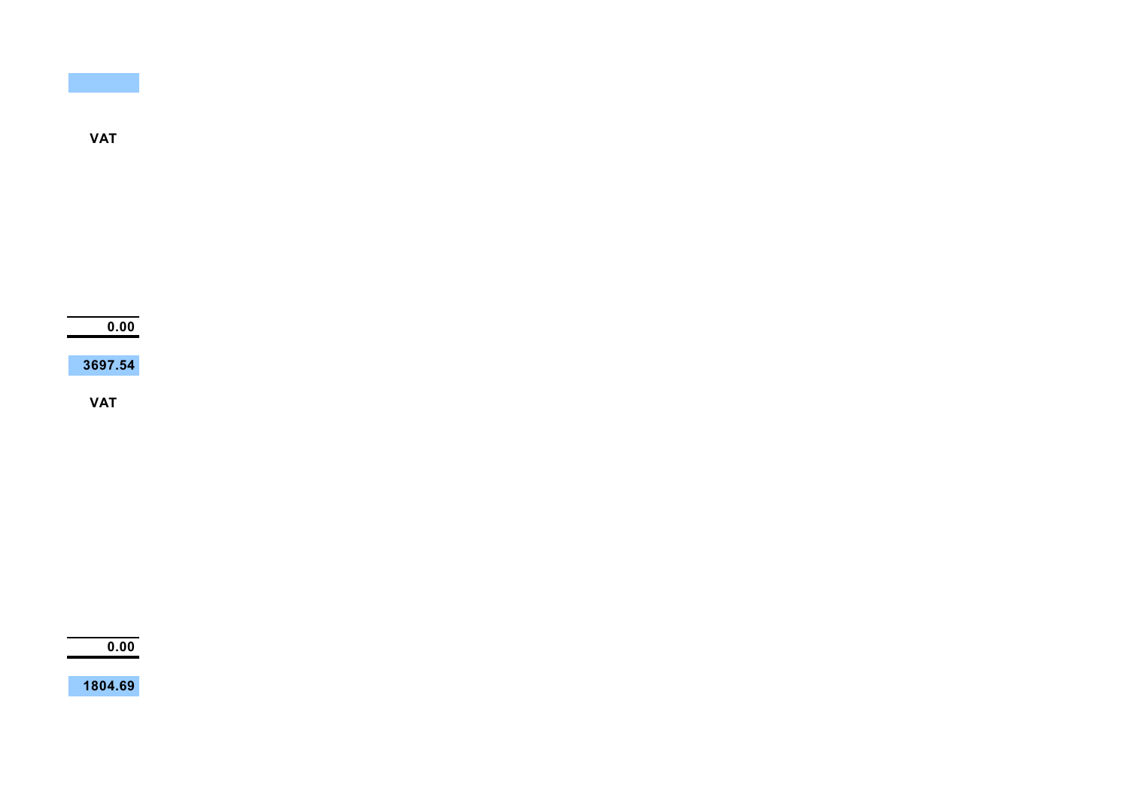**VAT**

**0.00**

**3697.54**

**VAT**

**0.00**

**1804.69**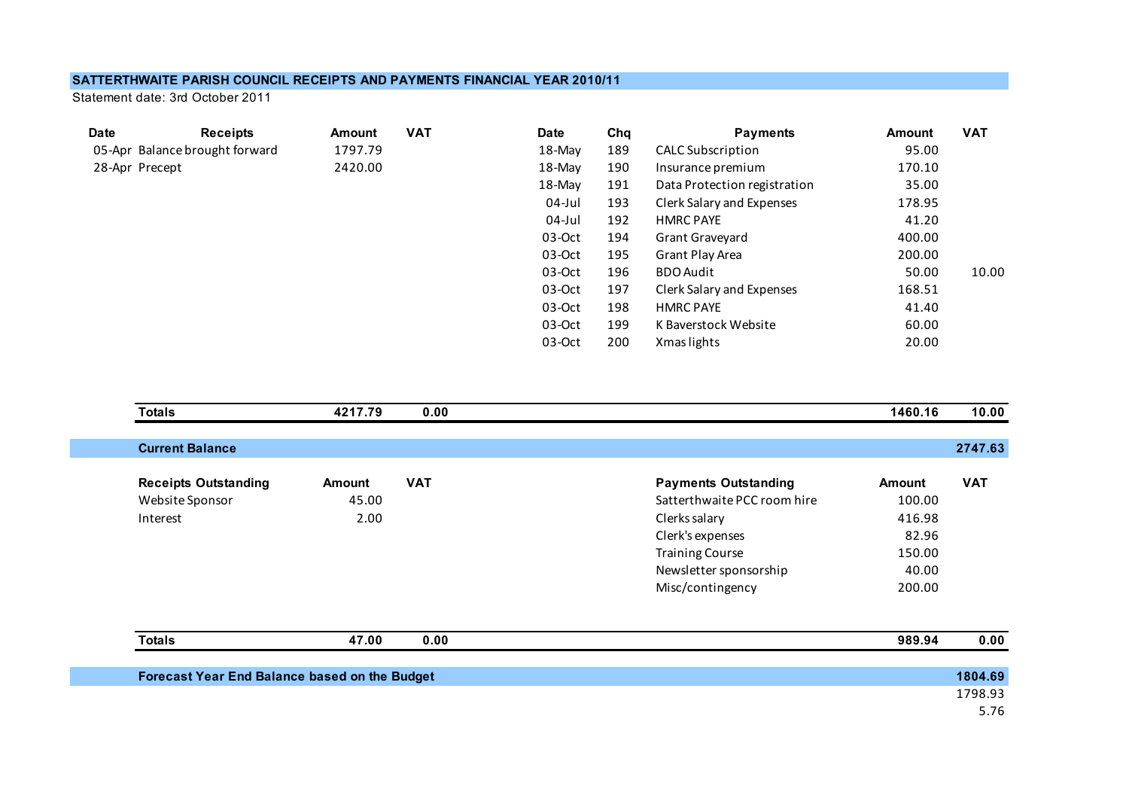## **SATTERTHWAITE PARISH COUNCIL RECEIPTS AND PAYMENTS FINANCIAL YEAR 2010/11**

Statement date: 3rd October 2011

| <b>Date</b>    | <b>Receipts</b>                | Amount  | <b>VAT</b> | <b>Date</b> | Cha | <b>Payments</b>              | Amount | <b>VAT</b> |
|----------------|--------------------------------|---------|------------|-------------|-----|------------------------------|--------|------------|
|                | 05-Apr Balance brought forward | 1797.79 |            | 18-May      | 189 | <b>CALC Subscription</b>     | 95.00  |            |
| 28-Apr Precept |                                | 2420.00 |            | 18-May      | 190 | Insurance premium            | 170.10 |            |
|                |                                |         |            | 18-May      | 191 | Data Protection registration | 35.00  |            |
|                |                                |         |            | $04$ -Jul   | 193 | Clerk Salary and Expenses    | 178.95 |            |
|                |                                |         |            | 04-Jul      | 192 | <b>HMRC PAYE</b>             | 41.20  |            |
|                |                                |         |            | $03-Oct$    | 194 | Grant Graveyard              | 400.00 |            |
|                |                                |         |            | $03-Oct$    | 195 | Grant Play Area              | 200.00 |            |
|                |                                |         |            | $03-Oct$    | 196 | <b>BDO Audit</b>             | 50.00  | 10.00      |
|                |                                |         |            | $03-Oct$    | 197 | Clerk Salary and Expenses    | 168.51 |            |
|                |                                |         |            | $03-Oct$    | 198 | <b>HMRC PAYE</b>             | 41.40  |            |
|                |                                |         |            | $03-Oct$    | 199 | K Baverstock Website         | 60.00  |            |
|                |                                |         |            | $03-Oct$    | 200 | Xmas lights                  | 20.00  |            |
|                |                                |         |            |             |     |                              |        |            |

| <b>Totals</b>                                 | 4217.79 | 0.00       |                             | 1460.16       | 10.00      |
|-----------------------------------------------|---------|------------|-----------------------------|---------------|------------|
|                                               |         |            |                             |               |            |
| <b>Current Balance</b>                        |         |            |                             |               | 2747.63    |
|                                               |         |            |                             |               |            |
| <b>Receipts Outstanding</b>                   | Amount  | <b>VAT</b> | <b>Payments Outstanding</b> | <b>Amount</b> | <b>VAT</b> |
| Website Sponsor                               | 45.00   |            | Satterthwaite PCC room hire | 100.00        |            |
| Interest                                      | 2.00    |            | Clerks salary               | 416.98        |            |
|                                               |         |            | Clerk's expenses            | 82.96         |            |
|                                               |         |            | <b>Training Course</b>      | 150.00        |            |
|                                               |         |            | Newsletter sponsorship      | 40.00         |            |
|                                               |         |            | Misc/contingency            | 200.00        |            |
|                                               |         |            |                             |               |            |
| <b>Totals</b>                                 | 47.00   | 0.00       |                             | 989.94        | 0.00       |
| Forecast Year End Balance based on the Budget |         |            |                             |               | 1804.69    |
|                                               |         |            |                             |               | 1798.93    |
|                                               |         |            |                             |               | 5.76       |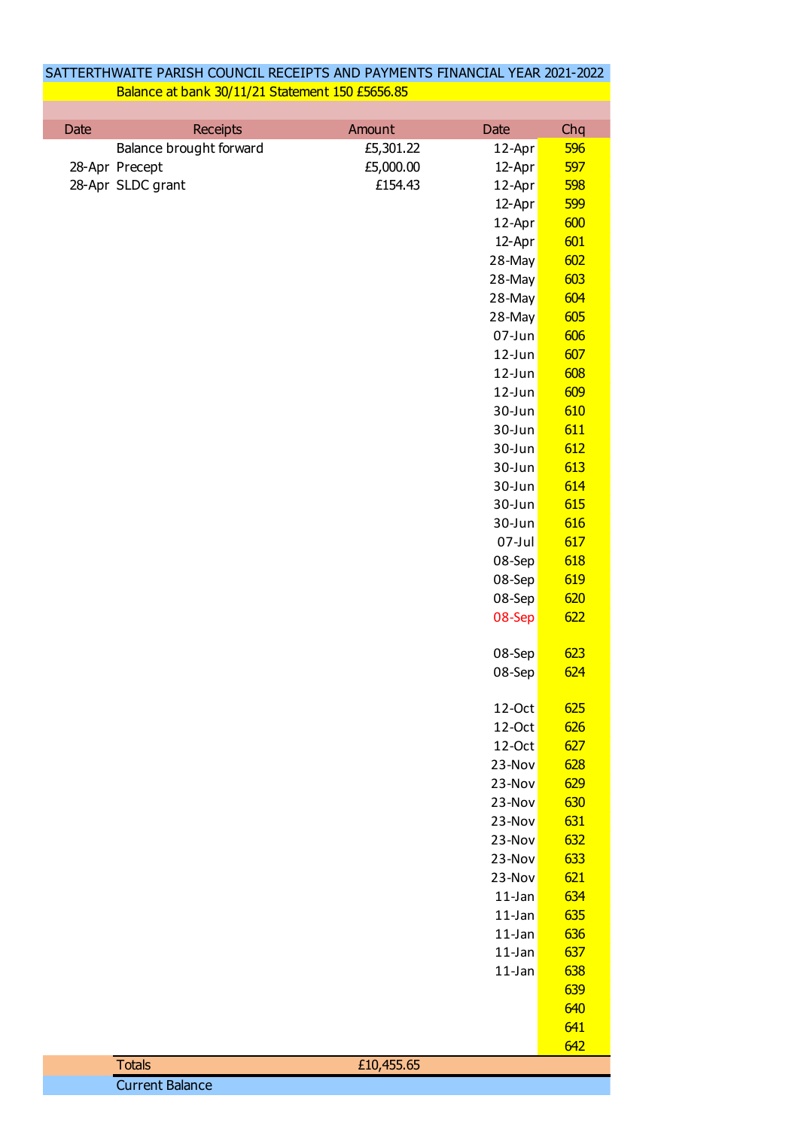| <b>Date</b><br><b>Receipts</b><br>Amount<br>Chq<br>Date<br>Balance brought forward<br>£5,301.22<br>596<br>12-Apr<br>597<br>£5,000.00<br>28-Apr Precept<br>12-Apr<br>28-Apr SLDC grant<br>£154.43<br>598<br>12-Apr<br>12-Apr<br>599<br>600<br>12-Apr<br>601<br>12-Apr<br>602<br>28-May<br>603<br>28-May<br>604<br>28-May<br>605<br>28-May<br>606<br>07-Jun<br>607<br>$12$ -Jun<br>608<br>12-Jun<br>609<br>$12$ -Jun<br>610<br>30-Jun<br>611<br>30-Jun<br>30-Jun<br>612<br>613<br>30-Jun<br>614<br>30-Jun<br>615<br>30-Jun<br>616<br>30-Jun<br>07-Jul<br>617<br>618<br>08-Sep<br>619<br>08-Sep<br>620<br>08-Sep<br>622<br>08-Sep<br>623<br>08-Sep<br>08-Sep<br><b>624</b><br>625<br>12-Oct<br>626<br>12-Oct<br>627<br>12-Oct<br>23-Nov<br>628<br>629<br>23-Nov<br>630<br>23-Nov<br>631<br>23-Nov<br>23-Nov<br>632<br>633<br>23-Nov<br>621<br>23-Nov<br>634<br>$11$ -Jan<br>635<br>$11$ -Jan<br>636<br>$11$ -Jan<br>637<br>$11$ -Jan<br>638<br>$11$ -Jan<br>639<br>640<br>641<br>642<br>£10,455.65<br><b>Totals</b> | SATTERTHWAITE PARISH COUNCIL RECEIPTS AND PAYMENTS FINANCIAL YEAR 2021-2022<br>Balance at bank 30/11/21 Statement 150 £5656.85 |  |  |
|------------------------------------------------------------------------------------------------------------------------------------------------------------------------------------------------------------------------------------------------------------------------------------------------------------------------------------------------------------------------------------------------------------------------------------------------------------------------------------------------------------------------------------------------------------------------------------------------------------------------------------------------------------------------------------------------------------------------------------------------------------------------------------------------------------------------------------------------------------------------------------------------------------------------------------------------------------------------------------------------------------------|--------------------------------------------------------------------------------------------------------------------------------|--|--|
|                                                                                                                                                                                                                                                                                                                                                                                                                                                                                                                                                                                                                                                                                                                                                                                                                                                                                                                                                                                                                  |                                                                                                                                |  |  |
|                                                                                                                                                                                                                                                                                                                                                                                                                                                                                                                                                                                                                                                                                                                                                                                                                                                                                                                                                                                                                  |                                                                                                                                |  |  |
|                                                                                                                                                                                                                                                                                                                                                                                                                                                                                                                                                                                                                                                                                                                                                                                                                                                                                                                                                                                                                  |                                                                                                                                |  |  |
|                                                                                                                                                                                                                                                                                                                                                                                                                                                                                                                                                                                                                                                                                                                                                                                                                                                                                                                                                                                                                  |                                                                                                                                |  |  |
|                                                                                                                                                                                                                                                                                                                                                                                                                                                                                                                                                                                                                                                                                                                                                                                                                                                                                                                                                                                                                  |                                                                                                                                |  |  |
|                                                                                                                                                                                                                                                                                                                                                                                                                                                                                                                                                                                                                                                                                                                                                                                                                                                                                                                                                                                                                  |                                                                                                                                |  |  |
|                                                                                                                                                                                                                                                                                                                                                                                                                                                                                                                                                                                                                                                                                                                                                                                                                                                                                                                                                                                                                  |                                                                                                                                |  |  |
|                                                                                                                                                                                                                                                                                                                                                                                                                                                                                                                                                                                                                                                                                                                                                                                                                                                                                                                                                                                                                  |                                                                                                                                |  |  |
|                                                                                                                                                                                                                                                                                                                                                                                                                                                                                                                                                                                                                                                                                                                                                                                                                                                                                                                                                                                                                  |                                                                                                                                |  |  |
|                                                                                                                                                                                                                                                                                                                                                                                                                                                                                                                                                                                                                                                                                                                                                                                                                                                                                                                                                                                                                  |                                                                                                                                |  |  |
|                                                                                                                                                                                                                                                                                                                                                                                                                                                                                                                                                                                                                                                                                                                                                                                                                                                                                                                                                                                                                  |                                                                                                                                |  |  |
|                                                                                                                                                                                                                                                                                                                                                                                                                                                                                                                                                                                                                                                                                                                                                                                                                                                                                                                                                                                                                  |                                                                                                                                |  |  |
|                                                                                                                                                                                                                                                                                                                                                                                                                                                                                                                                                                                                                                                                                                                                                                                                                                                                                                                                                                                                                  |                                                                                                                                |  |  |
|                                                                                                                                                                                                                                                                                                                                                                                                                                                                                                                                                                                                                                                                                                                                                                                                                                                                                                                                                                                                                  |                                                                                                                                |  |  |
|                                                                                                                                                                                                                                                                                                                                                                                                                                                                                                                                                                                                                                                                                                                                                                                                                                                                                                                                                                                                                  |                                                                                                                                |  |  |
|                                                                                                                                                                                                                                                                                                                                                                                                                                                                                                                                                                                                                                                                                                                                                                                                                                                                                                                                                                                                                  |                                                                                                                                |  |  |
|                                                                                                                                                                                                                                                                                                                                                                                                                                                                                                                                                                                                                                                                                                                                                                                                                                                                                                                                                                                                                  |                                                                                                                                |  |  |
|                                                                                                                                                                                                                                                                                                                                                                                                                                                                                                                                                                                                                                                                                                                                                                                                                                                                                                                                                                                                                  |                                                                                                                                |  |  |
|                                                                                                                                                                                                                                                                                                                                                                                                                                                                                                                                                                                                                                                                                                                                                                                                                                                                                                                                                                                                                  |                                                                                                                                |  |  |
|                                                                                                                                                                                                                                                                                                                                                                                                                                                                                                                                                                                                                                                                                                                                                                                                                                                                                                                                                                                                                  |                                                                                                                                |  |  |
|                                                                                                                                                                                                                                                                                                                                                                                                                                                                                                                                                                                                                                                                                                                                                                                                                                                                                                                                                                                                                  |                                                                                                                                |  |  |
|                                                                                                                                                                                                                                                                                                                                                                                                                                                                                                                                                                                                                                                                                                                                                                                                                                                                                                                                                                                                                  |                                                                                                                                |  |  |
|                                                                                                                                                                                                                                                                                                                                                                                                                                                                                                                                                                                                                                                                                                                                                                                                                                                                                                                                                                                                                  |                                                                                                                                |  |  |
|                                                                                                                                                                                                                                                                                                                                                                                                                                                                                                                                                                                                                                                                                                                                                                                                                                                                                                                                                                                                                  |                                                                                                                                |  |  |
|                                                                                                                                                                                                                                                                                                                                                                                                                                                                                                                                                                                                                                                                                                                                                                                                                                                                                                                                                                                                                  |                                                                                                                                |  |  |
|                                                                                                                                                                                                                                                                                                                                                                                                                                                                                                                                                                                                                                                                                                                                                                                                                                                                                                                                                                                                                  |                                                                                                                                |  |  |
|                                                                                                                                                                                                                                                                                                                                                                                                                                                                                                                                                                                                                                                                                                                                                                                                                                                                                                                                                                                                                  |                                                                                                                                |  |  |
|                                                                                                                                                                                                                                                                                                                                                                                                                                                                                                                                                                                                                                                                                                                                                                                                                                                                                                                                                                                                                  |                                                                                                                                |  |  |
|                                                                                                                                                                                                                                                                                                                                                                                                                                                                                                                                                                                                                                                                                                                                                                                                                                                                                                                                                                                                                  |                                                                                                                                |  |  |
|                                                                                                                                                                                                                                                                                                                                                                                                                                                                                                                                                                                                                                                                                                                                                                                                                                                                                                                                                                                                                  |                                                                                                                                |  |  |
|                                                                                                                                                                                                                                                                                                                                                                                                                                                                                                                                                                                                                                                                                                                                                                                                                                                                                                                                                                                                                  |                                                                                                                                |  |  |
|                                                                                                                                                                                                                                                                                                                                                                                                                                                                                                                                                                                                                                                                                                                                                                                                                                                                                                                                                                                                                  |                                                                                                                                |  |  |
|                                                                                                                                                                                                                                                                                                                                                                                                                                                                                                                                                                                                                                                                                                                                                                                                                                                                                                                                                                                                                  |                                                                                                                                |  |  |
|                                                                                                                                                                                                                                                                                                                                                                                                                                                                                                                                                                                                                                                                                                                                                                                                                                                                                                                                                                                                                  |                                                                                                                                |  |  |
|                                                                                                                                                                                                                                                                                                                                                                                                                                                                                                                                                                                                                                                                                                                                                                                                                                                                                                                                                                                                                  |                                                                                                                                |  |  |
|                                                                                                                                                                                                                                                                                                                                                                                                                                                                                                                                                                                                                                                                                                                                                                                                                                                                                                                                                                                                                  |                                                                                                                                |  |  |
|                                                                                                                                                                                                                                                                                                                                                                                                                                                                                                                                                                                                                                                                                                                                                                                                                                                                                                                                                                                                                  |                                                                                                                                |  |  |
|                                                                                                                                                                                                                                                                                                                                                                                                                                                                                                                                                                                                                                                                                                                                                                                                                                                                                                                                                                                                                  |                                                                                                                                |  |  |
|                                                                                                                                                                                                                                                                                                                                                                                                                                                                                                                                                                                                                                                                                                                                                                                                                                                                                                                                                                                                                  |                                                                                                                                |  |  |
|                                                                                                                                                                                                                                                                                                                                                                                                                                                                                                                                                                                                                                                                                                                                                                                                                                                                                                                                                                                                                  |                                                                                                                                |  |  |
|                                                                                                                                                                                                                                                                                                                                                                                                                                                                                                                                                                                                                                                                                                                                                                                                                                                                                                                                                                                                                  |                                                                                                                                |  |  |
|                                                                                                                                                                                                                                                                                                                                                                                                                                                                                                                                                                                                                                                                                                                                                                                                                                                                                                                                                                                                                  |                                                                                                                                |  |  |
|                                                                                                                                                                                                                                                                                                                                                                                                                                                                                                                                                                                                                                                                                                                                                                                                                                                                                                                                                                                                                  |                                                                                                                                |  |  |
|                                                                                                                                                                                                                                                                                                                                                                                                                                                                                                                                                                                                                                                                                                                                                                                                                                                                                                                                                                                                                  |                                                                                                                                |  |  |
|                                                                                                                                                                                                                                                                                                                                                                                                                                                                                                                                                                                                                                                                                                                                                                                                                                                                                                                                                                                                                  |                                                                                                                                |  |  |
|                                                                                                                                                                                                                                                                                                                                                                                                                                                                                                                                                                                                                                                                                                                                                                                                                                                                                                                                                                                                                  |                                                                                                                                |  |  |
|                                                                                                                                                                                                                                                                                                                                                                                                                                                                                                                                                                                                                                                                                                                                                                                                                                                                                                                                                                                                                  |                                                                                                                                |  |  |
|                                                                                                                                                                                                                                                                                                                                                                                                                                                                                                                                                                                                                                                                                                                                                                                                                                                                                                                                                                                                                  |                                                                                                                                |  |  |
|                                                                                                                                                                                                                                                                                                                                                                                                                                                                                                                                                                                                                                                                                                                                                                                                                                                                                                                                                                                                                  |                                                                                                                                |  |  |
|                                                                                                                                                                                                                                                                                                                                                                                                                                                                                                                                                                                                                                                                                                                                                                                                                                                                                                                                                                                                                  |                                                                                                                                |  |  |
|                                                                                                                                                                                                                                                                                                                                                                                                                                                                                                                                                                                                                                                                                                                                                                                                                                                                                                                                                                                                                  | <b>Current Balance</b>                                                                                                         |  |  |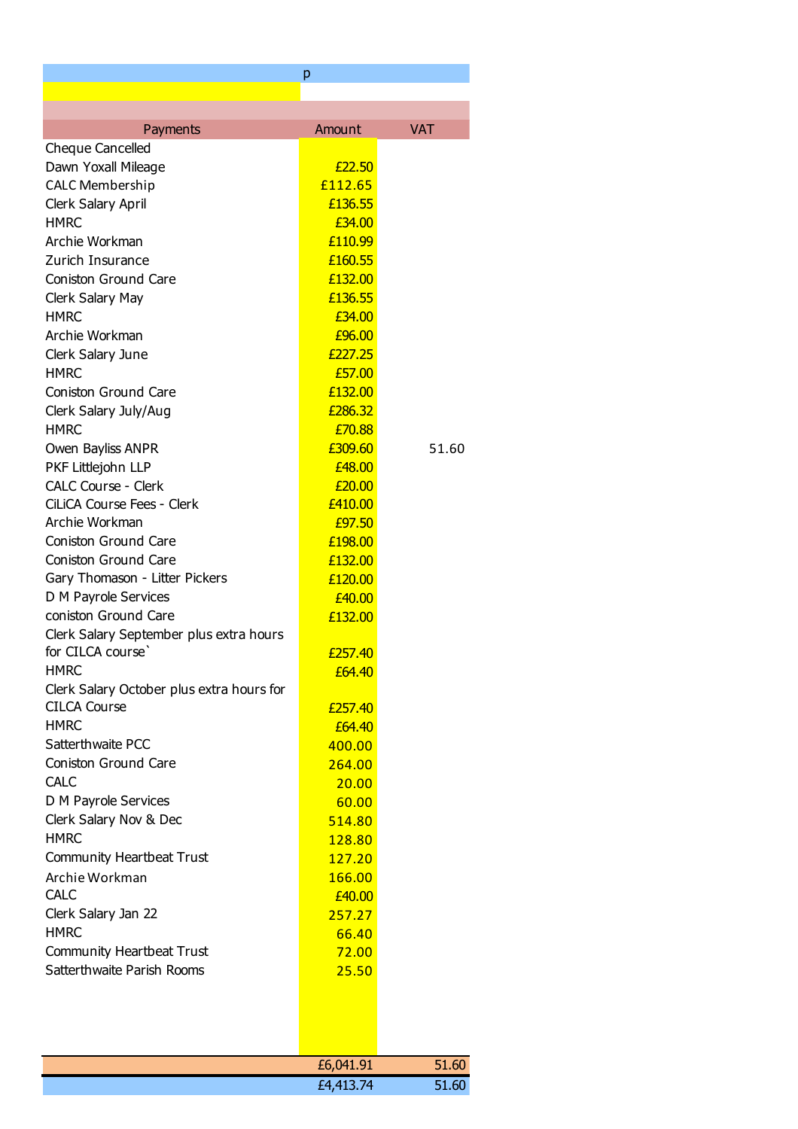|                                           | р       |            |
|-------------------------------------------|---------|------------|
|                                           |         |            |
|                                           |         |            |
| Payments                                  | Amount  | <b>VAT</b> |
| <b>Cheque Cancelled</b>                   |         |            |
| Dawn Yoxall Mileage                       | £22.50  |            |
| <b>CALC Membership</b>                    | £112.65 |            |
| Clerk Salary April                        | £136.55 |            |
| <b>HMRC</b>                               | £34.00  |            |
| Archie Workman                            | £110.99 |            |
| Zurich Insurance                          | £160.55 |            |
| Coniston Ground Care                      | £132.00 |            |
| Clerk Salary May                          | £136.55 |            |
| <b>HMRC</b>                               | £34.00  |            |
| Archie Workman                            | £96.00  |            |
| Clerk Salary June                         | £227.25 |            |
| <b>HMRC</b>                               | £57,00  |            |
| Coniston Ground Care                      | £132.00 |            |
| Clerk Salary July/Aug                     | £286.32 |            |
| <b>HMRC</b>                               | £70.88  |            |
| Owen Bayliss ANPR                         | £309.60 | 51.60      |
| PKF Littlejohn LLP                        | £48.00  |            |
| <b>CALC Course - Clerk</b>                | £20.00  |            |
| CiLiCA Course Fees - Clerk                | £410,00 |            |
| Archie Workman                            | £97.50  |            |
| <b>Coniston Ground Care</b>               | £198.00 |            |
| Coniston Ground Care                      | £132.00 |            |
| Gary Thomason - Litter Pickers            | £120.00 |            |
| D M Payrole Services                      | £40.00  |            |
| coniston Ground Care                      | £132.00 |            |
| Clerk Salary September plus extra hours   |         |            |
| for CILCA course'                         | £257.40 |            |
| <b>HMRC</b>                               | £64.40  |            |
| Clerk Salary October plus extra hours for |         |            |
| <b>CILCA Course</b>                       | £257.40 |            |
| <b>HMRC</b>                               | £64.40  |            |
| Satterthwaite PCC                         | 400.00  |            |
| <b>Coniston Ground Care</b>               | 264.00  |            |
| <b>CALC</b>                               | 20.00   |            |
| D M Payrole Services                      | 60.00   |            |
| Clerk Salary Nov & Dec                    | 514.80  |            |
| <b>HMRC</b>                               | 128.80  |            |
| Community Heartbeat Trust                 | 127.20  |            |
| Archie Workman                            | 166.00  |            |
| <b>CALC</b>                               | £40.00  |            |
| Clerk Salary Jan 22                       | 257.27  |            |
| <b>HMRC</b>                               | 66.40   |            |
| Community Heartbeat Trust                 | 72.00   |            |
| Satterthwaite Parish Rooms                | 25.50   |            |
|                                           |         |            |
|                                           |         |            |
|                                           |         |            |
|                                           |         |            |
|                                           |         |            |

| £6,041.91 | 51.60 |
|-----------|-------|
| £4,413.74 | 51.60 |
|           |       |

 $\overline{\phantom{a}}$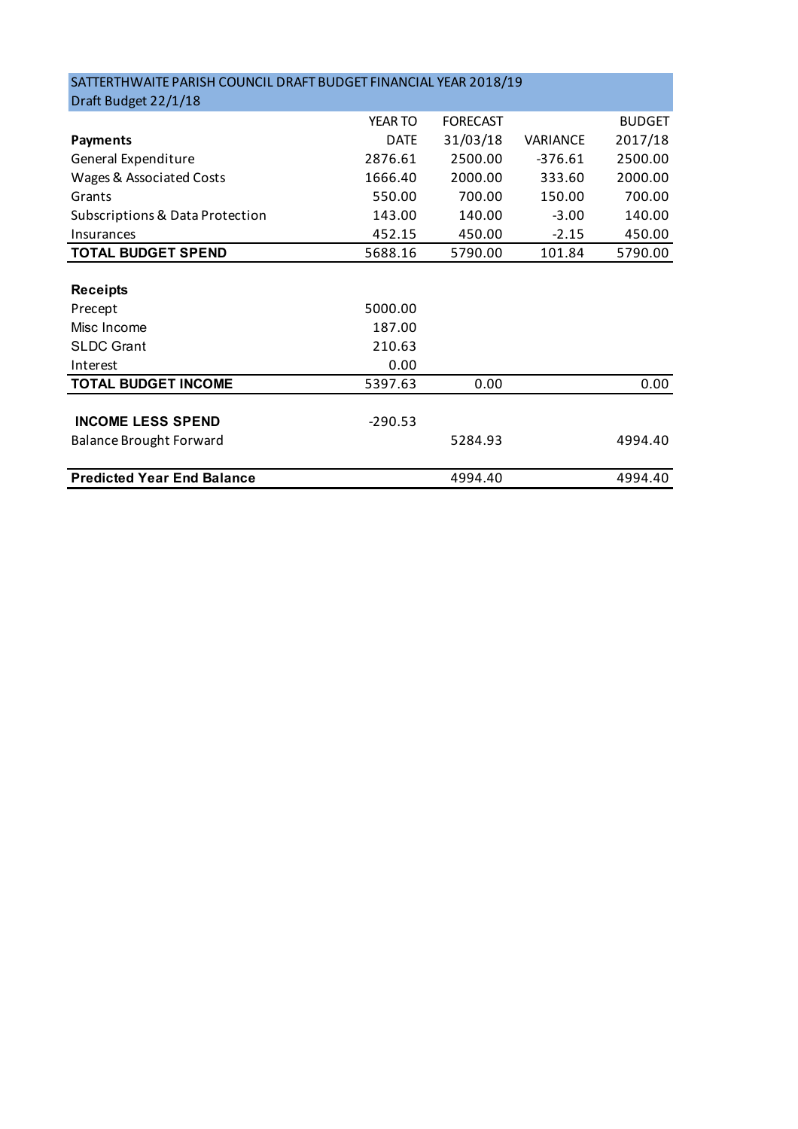| SATTERTHWAITE PARISH COUNCIL DRAFT BUDGET FINANCIAL YEAR 2018/19 |             |                 |           |               |
|------------------------------------------------------------------|-------------|-----------------|-----------|---------------|
| Draft Budget 22/1/18                                             |             |                 |           |               |
|                                                                  | YEAR TO     | <b>FORECAST</b> |           | <b>BUDGET</b> |
| <b>Payments</b>                                                  | <b>DATE</b> | 31/03/18        | VARIANCE  | 2017/18       |
| General Expenditure                                              | 2876.61     | 2500.00         | $-376.61$ | 2500.00       |
| Wages & Associated Costs                                         | 1666.40     | 2000.00         | 333.60    | 2000.00       |
| Grants                                                           | 550.00      | 700.00          | 150.00    | 700.00        |
| Subscriptions & Data Protection                                  | 143.00      | 140.00          | $-3.00$   | 140.00        |
| Insurances                                                       | 452.15      | 450.00          | $-2.15$   | 450.00        |
| <b>TOTAL BUDGET SPEND</b>                                        | 5688.16     | 5790.00         | 101.84    | 5790.00       |
|                                                                  |             |                 |           |               |
| <b>Receipts</b>                                                  |             |                 |           |               |
| Precept                                                          | 5000.00     |                 |           |               |
| Misc Income                                                      | 187.00      |                 |           |               |
| <b>SLDC Grant</b>                                                | 210.63      |                 |           |               |
| Interest                                                         | 0.00        |                 |           |               |
| <b>TOTAL BUDGET INCOME</b>                                       | 5397.63     | 0.00            |           | 0.00          |
|                                                                  |             |                 |           |               |
| <b>INCOME LESS SPEND</b>                                         | $-290.53$   |                 |           |               |
| <b>Balance Brought Forward</b>                                   |             | 5284.93         |           | 4994.40       |
|                                                                  |             |                 |           |               |
| <b>Predicted Year End Balance</b>                                |             | 4994.40         |           | 4994.40       |